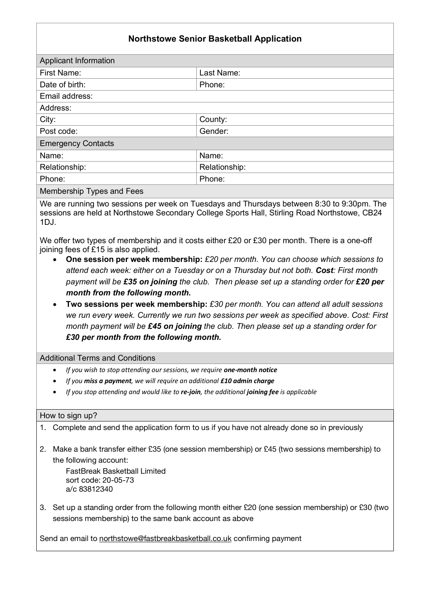## **Northstowe Senior Basketball Application**

| Applicant Information     |               |
|---------------------------|---------------|
| First Name:               | Last Name:    |
| Date of birth:            | Phone:        |
| Email address:            |               |
| Address:                  |               |
| City:                     | County:       |
| Post code:                | Gender:       |
| <b>Emergency Contacts</b> |               |
| Name:                     | Name:         |
| Relationship:             | Relationship: |
| Phone:                    | Phone:        |
| .<br>$\sim$               |               |

Membership Types and Fees

We are running two sessions per week on Tuesdays and Thursdays between 8:30 to 9:30pm. The sessions are held at Northstowe Secondary College Sports Hall, Stirling Road Northstowe, CB24 1DJ.

We offer two types of membership and it costs either £20 or £30 per month. There is a one-off joining fees of £15 is also applied.

- **One session per week membership:** *£20 per month. You can choose which sessions to attend each week: either on a Tuesday or on a Thursday but not both. Cost: First month payment will be £35 on joining the club. Then please set up a standing order for £20 per month from the following month.*
- **Two sessions per week membership:** *£30 per month. You can attend all adult sessions we run every week. Currently we run two sessions per week as specified above. Cost: First month payment will be £45 on joining the club. Then please set up a standing order for £30 per month from the following month.*

Additional Terms and Conditions

- *If you wish to stop attending our sessions, we require one-month notice*
- *If you miss a payment, we will require an additional £10 admin charge*
- *If you stop attending and would like to re-join, the additional joining fee is applicable*

## How to sign up?

- 1. Complete and send the application form to us if you have not already done so in previously
- 2. Make a bank transfer either £35 (one session membership) or £45 (two sessions membership) to the following account:

FastBreak Basketball Limited sort code: 20-05-73 a/c 83812340

3. Set up a standing order from the following month either £20 (one session membership) or £30 (two sessions membership) to the same bank account as above

Send an email to northstowe@fastbreakbasketball.co.uk confirming payment